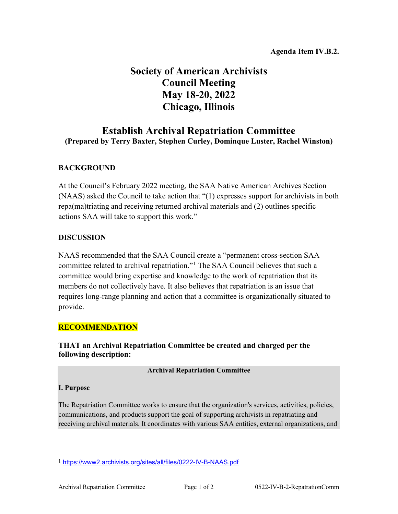# **Society of American Archivists Council Meeting May 18-20, 2022 Chicago, Illinois**

# **Establish Archival Repatriation Committee (Prepared by Terry Baxter, Stephen Curley, Dominque Luster, Rachel Winston)**

# **BACKGROUND**

At the Council's February 2022 meeting, the SAA Native American Archives Section (NAAS) asked the Council to take action that "(1) expresses support for archivists in both repa(ma)triating and receiving returned archival materials and (2) outlines specific actions SAA will take to support this work."

## **DISCUSSION**

NAAS recommended that the SAA Council create a "permanent cross-section SAA committee related to archival repatriation."[1](#page-0-0) The SAA Council believes that such a committee would bring expertise and knowledge to the work of repatriation that its members do not collectively have. It also believes that repatriation is an issue that requires long-range planning and action that a committee is organizationally situated to provide.

## **RECOMMENDATION**

**THAT an Archival Repatriation Committee be created and charged per the following description:**

#### **Archival Repatriation Committee**

#### **I. Purpose**

The Repatriation Committee works to ensure that the organization's services, activities, policies, communications, and products support the goal of supporting archivists in repatriating and receiving archival materials. It coordinates with various SAA entities, external organizations, and

<span id="page-0-0"></span> <sup>1</sup> <https://www2.archivists.org/sites/all/files/0222-IV-B-NAAS.pdf>